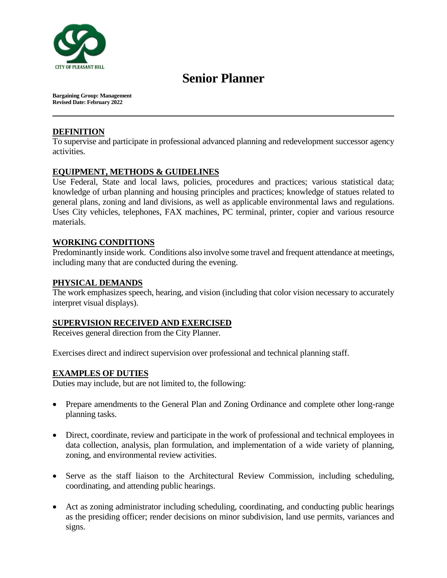

# **Senior Planner**

**Bargaining Group: Management Revised Date: February 2022**

## **DEFINITION**

To supervise and participate in professional advanced planning and redevelopment successor agency activities.

## **EQUIPMENT, METHODS & GUIDELINES**

Use Federal, State and local laws, policies, procedures and practices; various statistical data; knowledge of urban planning and housing principles and practices; knowledge of statues related to general plans, zoning and land divisions, as well as applicable environmental laws and regulations. Uses City vehicles, telephones, FAX machines, PC terminal, printer, copier and various resource materials.

## **WORKING CONDITIONS**

Predominantly inside work. Conditions also involve some travel and frequent attendance at meetings, including many that are conducted during the evening.

## **PHYSICAL DEMANDS**

The work emphasizes speech, hearing, and vision (including that color vision necessary to accurately interpret visual displays).

### **SUPERVISION RECEIVED AND EXERCISED**

Receives general direction from the City Planner.

Exercises direct and indirect supervision over professional and technical planning staff.

### **EXAMPLES OF DUTIES**

Duties may include, but are not limited to, the following:

- Prepare amendments to the General Plan and Zoning Ordinance and complete other long-range planning tasks.
- Direct, coordinate, review and participate in the work of professional and technical employees in data collection, analysis, plan formulation, and implementation of a wide variety of planning, zoning, and environmental review activities.
- Serve as the staff liaison to the Architectural Review Commission, including scheduling, coordinating, and attending public hearings.
- Act as zoning administrator including scheduling, coordinating, and conducting public hearings as the presiding officer; render decisions on minor subdivision, land use permits, variances and signs.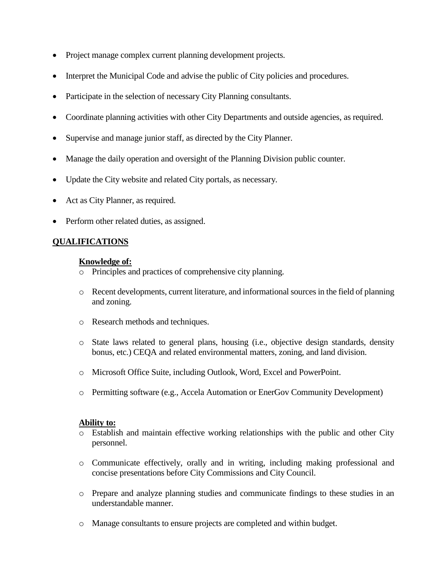- Project manage complex current planning development projects.
- Interpret the Municipal Code and advise the public of City policies and procedures.
- Participate in the selection of necessary City Planning consultants.
- Coordinate planning activities with other City Departments and outside agencies, as required.
- Supervise and manage junior staff, as directed by the City Planner.
- Manage the daily operation and oversight of the Planning Division public counter.
- Update the City website and related City portals, as necessary.
- Act as City Planner, as required.
- Perform other related duties, as assigned.

#### **QUALIFICATIONS**

#### **Knowledge of:**

- o Principles and practices of comprehensive city planning.
- o Recent developments, current literature, and informational sources in the field of planning and zoning.
- o Research methods and techniques.
- o State laws related to general plans, housing (i.e., objective design standards, density bonus, etc.) CEQA and related environmental matters, zoning, and land division.
- o Microsoft Office Suite, including Outlook, Word, Excel and PowerPoint.
- o Permitting software (e.g., Accela Automation or EnerGov Community Development)

#### **Ability to:**

- o Establish and maintain effective working relationships with the public and other City personnel.
- o Communicate effectively, orally and in writing, including making professional and concise presentations before City Commissions and City Council.
- o Prepare and analyze planning studies and communicate findings to these studies in an understandable manner.
- o Manage consultants to ensure projects are completed and within budget.